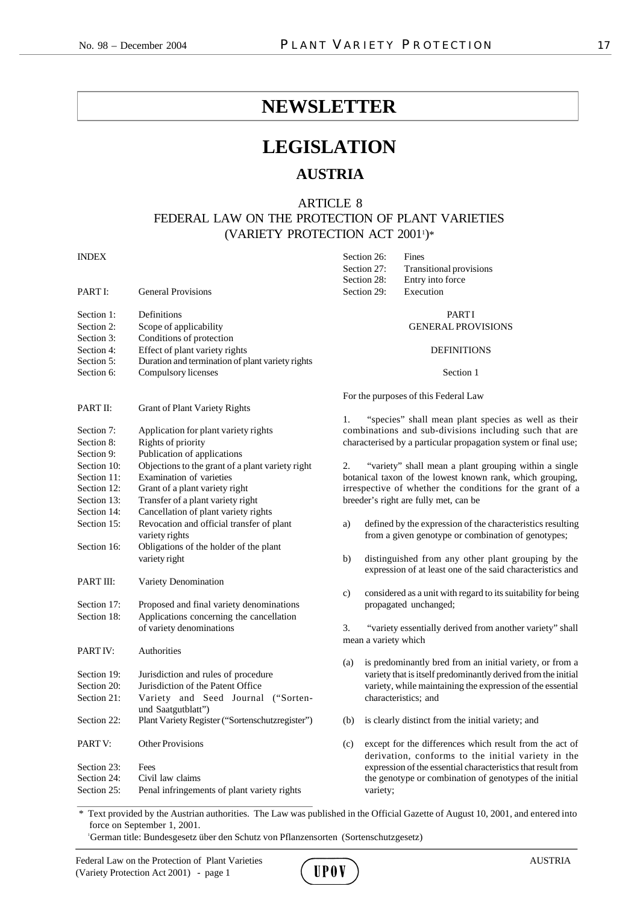Section 26: Fines

## **NEWSLETTER**

# **LEGISLATION**

## **AUSTRIA**

ARTICLE 8

FEDERAL LAW ON THE PROTECTION OF PLANT VARIETIES (VARIETY PROTECTION ACT 2001<sup>1</sup> )\*

## INDEX

|             |                                                  |                                                                | Section 27:                                                                      | <b>Transitional provisions</b>                                                                                   |  |
|-------------|--------------------------------------------------|----------------------------------------------------------------|----------------------------------------------------------------------------------|------------------------------------------------------------------------------------------------------------------|--|
|             |                                                  |                                                                | Section 28:                                                                      | Entry into force                                                                                                 |  |
| PART I:     | <b>General Provisions</b>                        |                                                                | Section 29:                                                                      | Execution                                                                                                        |  |
| Section 1:  | Definitions                                      |                                                                |                                                                                  | <b>PARTI</b>                                                                                                     |  |
| Section 2:  | Scope of applicability                           | <b>GENERAL PROVISIONS</b>                                      |                                                                                  |                                                                                                                  |  |
| Section 3:  | Conditions of protection                         |                                                                |                                                                                  |                                                                                                                  |  |
| Section 4:  | Effect of plant variety rights                   |                                                                |                                                                                  | <b>DEFINITIONS</b>                                                                                               |  |
| Section 5:  | Duration and termination of plant variety rights |                                                                |                                                                                  |                                                                                                                  |  |
| Section 6:  | Compulsory licenses                              |                                                                | Section 1                                                                        |                                                                                                                  |  |
|             |                                                  |                                                                | For the purposes of this Federal Law                                             |                                                                                                                  |  |
| PART II:    | <b>Grant of Plant Variety Rights</b>             |                                                                | "species" shall mean plant species as well as their<br>1.                        |                                                                                                                  |  |
|             |                                                  |                                                                |                                                                                  |                                                                                                                  |  |
| Section 7:  | Application for plant variety rights             |                                                                |                                                                                  | combinations and sub-divisions including such that are                                                           |  |
| Section 8:  | Rights of priority                               | characterised by a particular propagation system or final use; |                                                                                  |                                                                                                                  |  |
| Section 9:  | Publication of applications                      |                                                                |                                                                                  |                                                                                                                  |  |
| Section 10: | Objections to the grant of a plant variety right | 2.                                                             |                                                                                  | "variety" shall mean a plant grouping within a single                                                            |  |
| Section 11: | Examination of varieties                         |                                                                |                                                                                  | botanical taxon of the lowest known rank, which grouping,                                                        |  |
| Section 12: | Grant of a plant variety right                   |                                                                |                                                                                  | irrespective of whether the conditions for the grant of a                                                        |  |
| Section 13: | Transfer of a plant variety right                |                                                                |                                                                                  | breeder's right are fully met, can be                                                                            |  |
| Section 14: | Cancellation of plant variety rights             |                                                                |                                                                                  |                                                                                                                  |  |
| Section 15: | Revocation and official transfer of plant        | a)                                                             |                                                                                  | defined by the expression of the characteristics resulting                                                       |  |
|             | variety rights                                   |                                                                |                                                                                  | from a given genotype or combination of genotypes;                                                               |  |
| Section 16: | Obligations of the holder of the plant           |                                                                |                                                                                  |                                                                                                                  |  |
|             | variety right                                    | b)                                                             |                                                                                  | distinguished from any other plant grouping by the<br>expression of at least one of the said characteristics and |  |
| PART III:   | Variety Denomination                             |                                                                |                                                                                  |                                                                                                                  |  |
|             |                                                  | c)                                                             |                                                                                  | considered as a unit with regard to its suitability for being                                                    |  |
| Section 17: | Proposed and final variety denominations         |                                                                |                                                                                  | propagated unchanged;                                                                                            |  |
| Section 18: | Applications concerning the cancellation         |                                                                |                                                                                  |                                                                                                                  |  |
|             | of variety denominations                         | 3.                                                             | "variety essentially derived from another variety" shall<br>mean a variety which |                                                                                                                  |  |
|             |                                                  |                                                                |                                                                                  |                                                                                                                  |  |
| PART IV:    | Authorities                                      |                                                                |                                                                                  |                                                                                                                  |  |
|             |                                                  | (a)                                                            |                                                                                  | is predominantly bred from an initial variety, or from a                                                         |  |
| Section 19: | Jurisdiction and rules of procedure              |                                                                |                                                                                  | variety that is itself predominantly derived from the initial                                                    |  |
| Section 20: | Jurisdiction of the Patent Office                |                                                                |                                                                                  | variety, while maintaining the expression of the essential                                                       |  |
| Section 21: | Variety and Seed Journal ("Sorten-               |                                                                |                                                                                  | characteristics; and                                                                                             |  |
|             | und Saatgutblatt")                               |                                                                |                                                                                  |                                                                                                                  |  |
| Section 22: | Plant Variety Register ("Sortenschutzregister")  | (b)                                                            |                                                                                  | is clearly distinct from the initial variety; and                                                                |  |
| PART V:     | <b>Other Provisions</b>                          | (c)                                                            |                                                                                  | except for the differences which result from the act of                                                          |  |
|             |                                                  |                                                                |                                                                                  | derivation, conforms to the initial variety in the                                                               |  |
| Section 23: | Fees                                             |                                                                |                                                                                  | expression of the essential characteristics that result from                                                     |  |
| Section 24: | Civil law claims                                 |                                                                |                                                                                  | the genotype or combination of genotypes of the initial                                                          |  |
| Section 25: | Penal infringements of plant variety rights      |                                                                | variety;                                                                         |                                                                                                                  |  |

\* Text provided by the Austrian authorities. The Law was published in the Official Gazette of August 10, 2001, and entered into force on September 1, 2001.

<sup>1</sup>German title: Bundesgesetz über den Schutz von Pflanzensorten (Sortenschutzgesetz)

Federal Law on the Protection of Plant Varieties AUSTRIA<br>
(Variety Protection Act 2001) - page 1 (Variety Protection Act 2001) - page 1

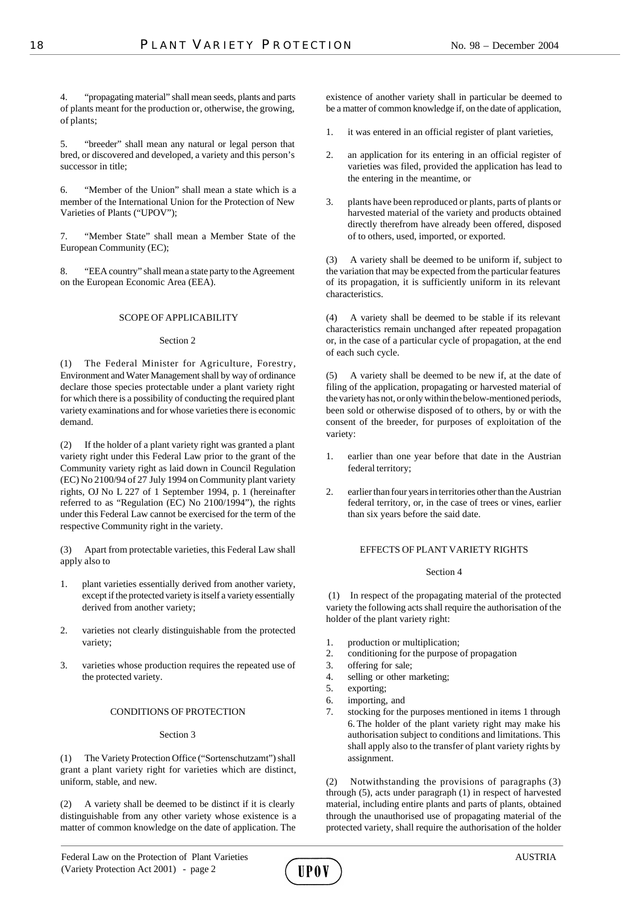4. "propagating material" shall mean seeds, plants and parts of plants meant for the production or, otherwise, the growing, of plants;

5. "breeder" shall mean any natural or legal person that bred, or discovered and developed, a variety and this person's successor in title;

6. "Member of the Union" shall mean a state which is a member of the International Union for the Protection of New Varieties of Plants ("UPOV");

7. "Member State" shall mean a Member State of the European Community (EC);

8. "EEA country" shall mean a state party to the Agreement on the European Economic Area (EEA).

## SCOPE OF APPLICABILITY

## Section 2

(1) The Federal Minister for Agriculture, Forestry, Environment and Water Management shall by way of ordinance declare those species protectable under a plant variety right for which there is a possibility of conducting the required plant variety examinations and for whose varieties there is economic demand.

(2) If the holder of a plant variety right was granted a plant variety right under this Federal Law prior to the grant of the Community variety right as laid down in Council Regulation (EC) No 2100/94 of 27 July 1994 on Community plant variety rights, OJ No L 227 of 1 September 1994, p. 1 (hereinafter referred to as "Regulation (EC) No 2100/1994"), the rights under this Federal Law cannot be exercised for the term of the respective Community right in the variety.

(3) Apart from protectable varieties, this Federal Law shall apply also to

- 1. plant varieties essentially derived from another variety, except if the protected variety is itself a variety essentially derived from another variety;
- 2. varieties not clearly distinguishable from the protected variety;
- 3. varieties whose production requires the repeated use of the protected variety.

## CONDITIONS OF PROTECTION

## Section 3

(1) The Variety Protection Office ("Sortenschutzamt") shall grant a plant variety right for varieties which are distinct, uniform, stable, and new.

(2) A variety shall be deemed to be distinct if it is clearly distinguishable from any other variety whose existence is a matter of common knowledge on the date of application. The

existence of another variety shall in particular be deemed to be a matter of common knowledge if, on the date of application,

- 1. it was entered in an official register of plant varieties,
- 2. an application for its entering in an official register of varieties was filed, provided the application has lead to the entering in the meantime, or
- 3. plants have been reproduced or plants, parts of plants or harvested material of the variety and products obtained directly therefrom have already been offered, disposed of to others, used, imported, or exported.

(3) A variety shall be deemed to be uniform if, subject to the variation that may be expected from the particular features of its propagation, it is sufficiently uniform in its relevant characteristics.

(4) A variety shall be deemed to be stable if its relevant characteristics remain unchanged after repeated propagation or, in the case of a particular cycle of propagation, at the end of each such cycle.

(5) A variety shall be deemed to be new if, at the date of filing of the application, propagating or harvested material of the variety has not, or only within the below-mentioned periods, been sold or otherwise disposed of to others, by or with the consent of the breeder, for purposes of exploitation of the variety:

- 1. earlier than one year before that date in the Austrian federal territory;
- 2. earlier than four years in territories other than the Austrian federal territory, or, in the case of trees or vines, earlier than six years before the said date.

## EFFECTS OF PLANT VARIETY RIGHTS

## Section 4

 (1) In respect of the propagating material of the protected variety the following acts shall require the authorisation of the holder of the plant variety right:

- 1. production or multiplication;
- 2. conditioning for the purpose of propagation
- 3. offering for sale;
- 4. selling or other marketing;
- 5. exporting;
- 6. importing, and
- 7. stocking for the purposes mentioned in items 1 through 6. The holder of the plant variety right may make his authorisation subject to conditions and limitations. This shall apply also to the transfer of plant variety rights by assignment.

(2) Notwithstanding the provisions of paragraphs (3) through (5), acts under paragraph (1) in respect of harvested material, including entire plants and parts of plants, obtained through the unauthorised use of propagating material of the protected variety, shall require the authorisation of the holder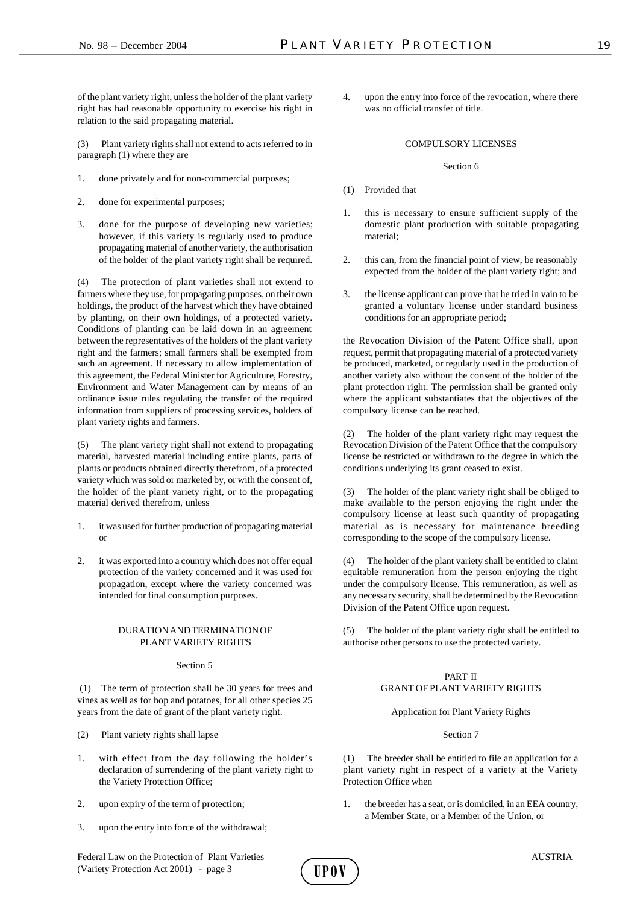of the plant variety right, unless the holder of the plant variety right has had reasonable opportunity to exercise his right in relation to the said propagating material.

(3) Plant variety rights shall not extend to acts referred to in paragraph (1) where they are

- 1. done privately and for non-commercial purposes;
- 2. done for experimental purposes;
- 3. done for the purpose of developing new varieties; however, if this variety is regularly used to produce propagating material of another variety, the authorisation of the holder of the plant variety right shall be required.

(4) The protection of plant varieties shall not extend to farmers where they use, for propagating purposes, on their own holdings, the product of the harvest which they have obtained by planting, on their own holdings, of a protected variety. Conditions of planting can be laid down in an agreement between the representatives of the holders of the plant variety right and the farmers; small farmers shall be exempted from such an agreement. If necessary to allow implementation of this agreement, the Federal Minister for Agriculture, Forestry, Environment and Water Management can by means of an ordinance issue rules regulating the transfer of the required information from suppliers of processing services, holders of plant variety rights and farmers.

(5) The plant variety right shall not extend to propagating material, harvested material including entire plants, parts of plants or products obtained directly therefrom, of a protected variety which was sold or marketed by, or with the consent of, the holder of the plant variety right, or to the propagating material derived therefrom, unless

- 1. it was used for further production of propagating material or
- 2. it was exported into a country which does not offer equal protection of the variety concerned and it was used for propagation, except where the variety concerned was intended for final consumption purposes.

## DURATION AND TERMINATION OF PLANT VARIETY RIGHTS

## Section 5

 (1) The term of protection shall be 30 years for trees and vines as well as for hop and potatoes, for all other species 25 years from the date of grant of the plant variety right.

- (2) Plant variety rights shall lapse
- 1. with effect from the day following the holder's declaration of surrendering of the plant variety right to the Variety Protection Office;
- 2. upon expiry of the term of protection;
- 3. upon the entry into force of the withdrawal;

4. upon the entry into force of the revocation, where there was no official transfer of title.

#### COMPULSORY LICENSES

#### Section 6

- (1) Provided that
- 1. this is necessary to ensure sufficient supply of the domestic plant production with suitable propagating material;
- 2. this can, from the financial point of view, be reasonably expected from the holder of the plant variety right; and
- 3. the license applicant can prove that he tried in vain to be granted a voluntary license under standard business conditions for an appropriate period;

the Revocation Division of the Patent Office shall, upon request, permit that propagating material of a protected variety be produced, marketed, or regularly used in the production of another variety also without the consent of the holder of the plant protection right. The permission shall be granted only where the applicant substantiates that the objectives of the compulsory license can be reached.

(2) The holder of the plant variety right may request the Revocation Division of the Patent Office that the compulsory license be restricted or withdrawn to the degree in which the conditions underlying its grant ceased to exist.

(3) The holder of the plant variety right shall be obliged to make available to the person enjoying the right under the compulsory license at least such quantity of propagating material as is necessary for maintenance breeding corresponding to the scope of the compulsory license.

(4) The holder of the plant variety shall be entitled to claim equitable remuneration from the person enjoying the right under the compulsory license. This remuneration, as well as any necessary security, shall be determined by the Revocation Division of the Patent Office upon request.

(5) The holder of the plant variety right shall be entitled to authorise other persons to use the protected variety.

## PART II GRANT OF PLANT VARIETY RIGHTS

Application for Plant Variety Rights

## Section 7

(1) The breeder shall be entitled to file an application for a plant variety right in respect of a variety at the Variety Protection Office when

1. the breeder has a seat, or is domiciled, in an EEA country, a Member State, or a Member of the Union, or

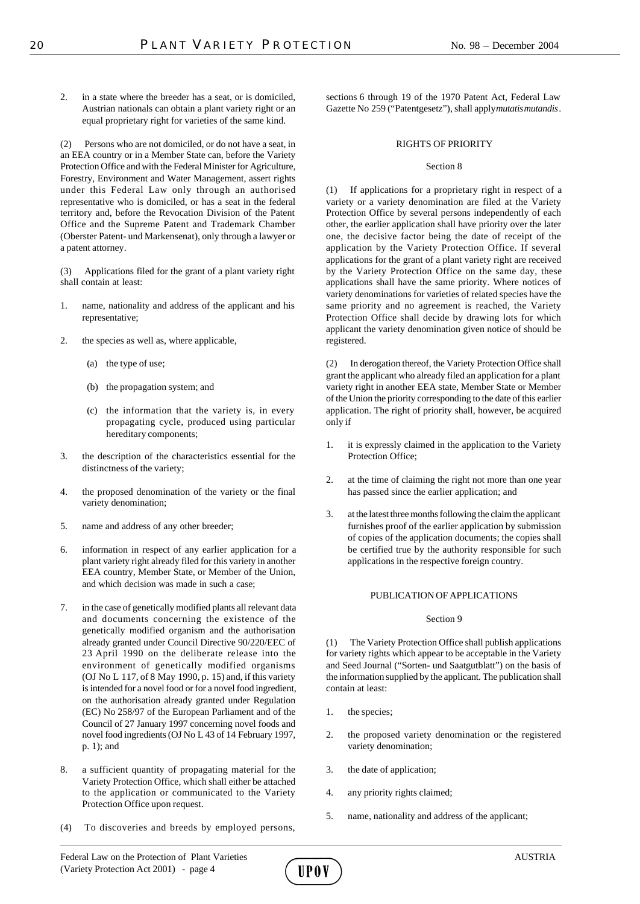2. in a state where the breeder has a seat, or is domiciled, Austrian nationals can obtain a plant variety right or an equal proprietary right for varieties of the same kind.

Persons who are not domiciled, or do not have a seat, in an EEA country or in a Member State can, before the Variety Protection Office and with the Federal Minister for Agriculture, Forestry, Environment and Water Management, assert rights under this Federal Law only through an authorised representative who is domiciled, or has a seat in the federal territory and, before the Revocation Division of the Patent Office and the Supreme Patent and Trademark Chamber (Oberster Patent- und Markensenat), only through a lawyer or a patent attorney.

(3) Applications filed for the grant of a plant variety right shall contain at least:

- 1. name, nationality and address of the applicant and his representative;
- 2. the species as well as, where applicable,
	- (a) the type of use;
	- (b) the propagation system; and
	- (c) the information that the variety is, in every propagating cycle, produced using particular hereditary components;
- 3. the description of the characteristics essential for the distinctness of the variety;
- 4. the proposed denomination of the variety or the final variety denomination;
- 5. name and address of any other breeder;
- 6. information in respect of any earlier application for a plant variety right already filed for this variety in another EEA country, Member State, or Member of the Union, and which decision was made in such a case;
- 7. in the case of genetically modified plants all relevant data and documents concerning the existence of the genetically modified organism and the authorisation already granted under Council Directive 90/220/EEC of 23 April 1990 on the deliberate release into the environment of genetically modified organisms (OJ No L 117, of 8 May 1990, p. 15) and, if this variety is intended for a novel food or for a novel food ingredient, on the authorisation already granted under Regulation (EC) No 258/97 of the European Parliament and of the Council of 27 January 1997 concerning novel foods and novel food ingredients (OJ No L 43 of 14 February 1997, p. 1); and
- 8. a sufficient quantity of propagating material for the Variety Protection Office, which shall either be attached to the application or communicated to the Variety Protection Office upon request.
- (4) To discoveries and breeds by employed persons,

sections 6 through 19 of the 1970 Patent Act, Federal Law Gazette No 259 ("Patentgesetz"), shall apply *mutatis mutandis*.

#### RIGHTS OF PRIORITY

#### Section 8

(1) If applications for a proprietary right in respect of a variety or a variety denomination are filed at the Variety Protection Office by several persons independently of each other, the earlier application shall have priority over the later one, the decisive factor being the date of receipt of the application by the Variety Protection Office. If several applications for the grant of a plant variety right are received by the Variety Protection Office on the same day, these applications shall have the same priority. Where notices of variety denominations for varieties of related species have the same priority and no agreement is reached, the Variety Protection Office shall decide by drawing lots for which applicant the variety denomination given notice of should be registered.

(2) In derogation thereof, the Variety Protection Office shall grant the applicant who already filed an application for a plant variety right in another EEA state, Member State or Member of the Union the priority corresponding to the date of this earlier application. The right of priority shall, however, be acquired only if

- 1. it is expressly claimed in the application to the Variety Protection Office;
- 2. at the time of claiming the right not more than one year has passed since the earlier application; and
- 3. at the latest three months following the claim the applicant furnishes proof of the earlier application by submission of copies of the application documents; the copies shall be certified true by the authority responsible for such applications in the respective foreign country.

## PUBLICATION OF APPLICATIONS

## Section 9

(1) The Variety Protection Office shall publish applications for variety rights which appear to be acceptable in the Variety and Seed Journal ("Sorten- und Saatgutblatt") on the basis of the information supplied by the applicant. The publication shall contain at least:

- 1. the species;
- 2. the proposed variety denomination or the registered variety denomination;
- 3. the date of application;
- 4. any priority rights claimed;
- 5. name, nationality and address of the applicant;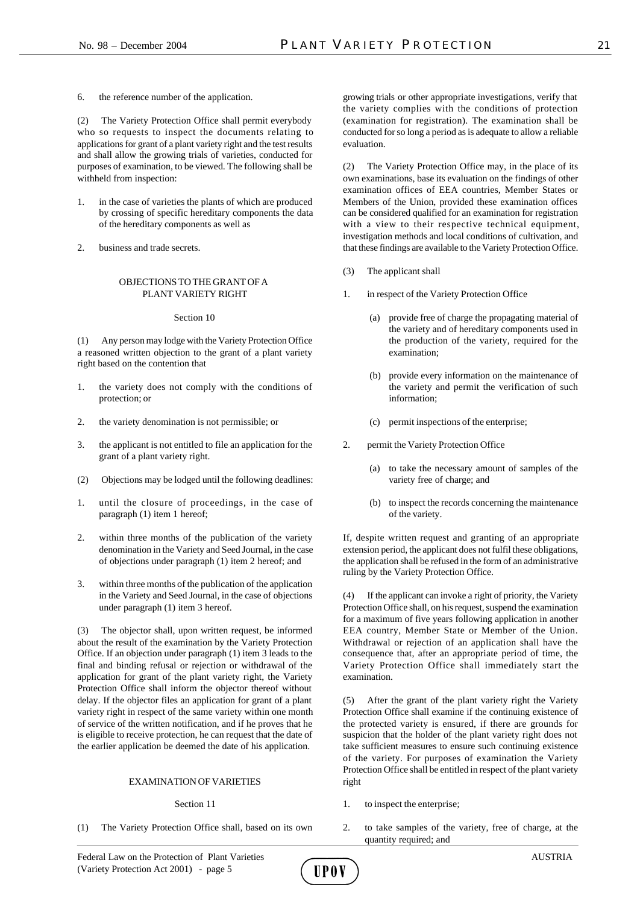6. the reference number of the application.

(2) The Variety Protection Office shall permit everybody who so requests to inspect the documents relating to applications for grant of a plant variety right and the test results and shall allow the growing trials of varieties, conducted for purposes of examination, to be viewed. The following shall be withheld from inspection:

- 1. in the case of varieties the plants of which are produced by crossing of specific hereditary components the data of the hereditary components as well as
- 2. business and trade secrets.

#### OBJECTIONS TO THE GRANT OF A PLANT VARIETY RIGHT

#### Section 10

(1) Any person may lodge with the Variety Protection Office a reasoned written objection to the grant of a plant variety right based on the contention that

- 1. the variety does not comply with the conditions of protection; or
- 2. the variety denomination is not permissible; or
- 3. the applicant is not entitled to file an application for the grant of a plant variety right.
- (2) Objections may be lodged until the following deadlines:
- 1. until the closure of proceedings, in the case of paragraph (1) item 1 hereof;
- 2. within three months of the publication of the variety denomination in the Variety and Seed Journal, in the case of objections under paragraph (1) item 2 hereof; and
- 3. within three months of the publication of the application in the Variety and Seed Journal, in the case of objections under paragraph (1) item 3 hereof.

(3) The objector shall, upon written request, be informed about the result of the examination by the Variety Protection Office. If an objection under paragraph (1) item 3 leads to the final and binding refusal or rejection or withdrawal of the application for grant of the plant variety right, the Variety Protection Office shall inform the objector thereof without delay. If the objector files an application for grant of a plant variety right in respect of the same variety within one month of service of the written notification, and if he proves that he is eligible to receive protection, he can request that the date of the earlier application be deemed the date of his application.

## EXAMINATION OF VARIETIES

#### Section 11

(1) The Variety Protection Office shall, based on its own

growing trials or other appropriate investigations, verify that the variety complies with the conditions of protection (examination for registration). The examination shall be conducted for so long a period as is adequate to allow a reliable evaluation.

(2) The Variety Protection Office may, in the place of its own examinations, base its evaluation on the findings of other examination offices of EEA countries, Member States or Members of the Union, provided these examination offices can be considered qualified for an examination for registration with a view to their respective technical equipment, investigation methods and local conditions of cultivation, and that these findings are available to the Variety Protection Office.

- (3) The applicant shall
- 1. in respect of the Variety Protection Office
	- (a) provide free of charge the propagating material of the variety and of hereditary components used in the production of the variety, required for the examination;
	- (b) provide every information on the maintenance of the variety and permit the verification of such information;
	- (c) permit inspections of the enterprise;
- 2. permit the Variety Protection Office
	- (a) to take the necessary amount of samples of the variety free of charge; and
	- (b) to inspect the records concerning the maintenance of the variety.

If, despite written request and granting of an appropriate extension period, the applicant does not fulfil these obligations, the application shall be refused in the form of an administrative ruling by the Variety Protection Office.

(4) If the applicant can invoke a right of priority, the Variety Protection Office shall, on his request, suspend the examination for a maximum of five years following application in another EEA country, Member State or Member of the Union. Withdrawal or rejection of an application shall have the consequence that, after an appropriate period of time, the Variety Protection Office shall immediately start the examination.

(5) After the grant of the plant variety right the Variety Protection Office shall examine if the continuing existence of the protected variety is ensured, if there are grounds for suspicion that the holder of the plant variety right does not take sufficient measures to ensure such continuing existence of the variety. For purposes of examination the Variety Protection Office shall be entitled in respect of the plant variety right

- 1. to inspect the enterprise;
- 2. to take samples of the variety, free of charge, at the quantity required; and

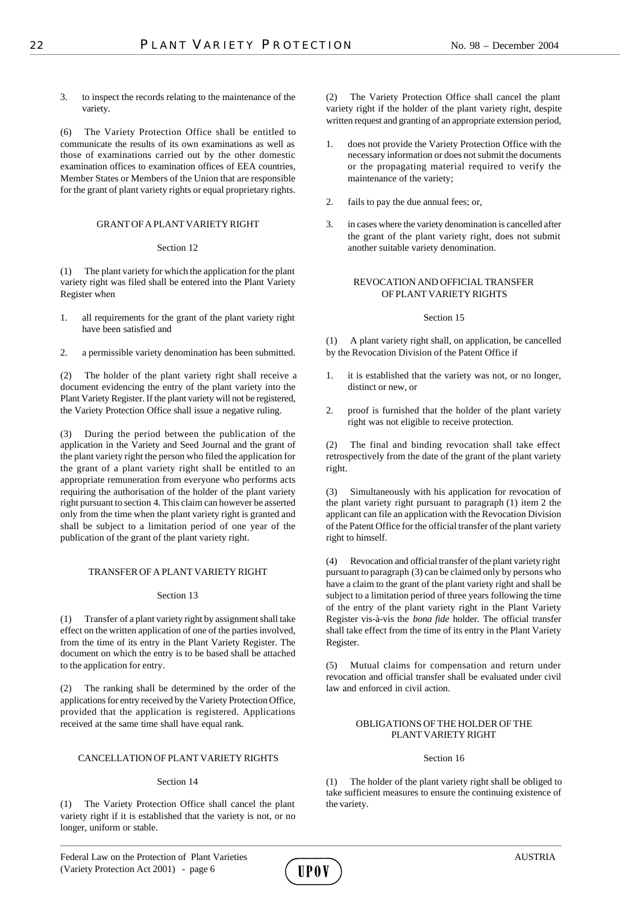3. to inspect the records relating to the maintenance of the variety.

(6) The Variety Protection Office shall be entitled to communicate the results of its own examinations as well as those of examinations carried out by the other domestic examination offices to examination offices of EEA countries, Member States or Members of the Union that are responsible for the grant of plant variety rights or equal proprietary rights.

## GRANT OF A PLANT VARIETY RIGHT

#### Section 12

(1) The plant variety for which the application for the plant variety right was filed shall be entered into the Plant Variety Register when

- 1. all requirements for the grant of the plant variety right have been satisfied and
- 2. a permissible variety denomination has been submitted.

(2) The holder of the plant variety right shall receive a document evidencing the entry of the plant variety into the Plant Variety Register. If the plant variety will not be registered, the Variety Protection Office shall issue a negative ruling.

(3) During the period between the publication of the application in the Variety and Seed Journal and the grant of the plant variety right the person who filed the application for the grant of a plant variety right shall be entitled to an appropriate remuneration from everyone who performs acts requiring the authorisation of the holder of the plant variety right pursuant to section 4. This claim can however be asserted only from the time when the plant variety right is granted and shall be subject to a limitation period of one year of the publication of the grant of the plant variety right.

## TRANSFER OF A PLANT VARIETY RIGHT

## Section 13

(1) Transfer of a plant variety right by assignment shall take effect on the written application of one of the parties involved, from the time of its entry in the Plant Variety Register. The document on which the entry is to be based shall be attached to the application for entry.

(2) The ranking shall be determined by the order of the applications for entry received by the Variety Protection Office, provided that the application is registered. Applications received at the same time shall have equal rank.

## CANCELLATION OF PLANT VARIETY RIGHTS

## Section 14

(1) The Variety Protection Office shall cancel the plant variety right if it is established that the variety is not, or no longer, uniform or stable.

UP O V

(2) The Variety Protection Office shall cancel the plant variety right if the holder of the plant variety right, despite written request and granting of an appropriate extension period,

- 1. does not provide the Variety Protection Office with the necessary information or does not submit the documents or the propagating material required to verify the maintenance of the variety;
- 2. fails to pay the due annual fees; or,
- 3. in cases where the variety denomination is cancelled after the grant of the plant variety right, does not submit another suitable variety denomination.

## REVOCATION AND OFFICIAL TRANSFER OF PLANT VARIETY RIGHTS

## Section 15

(1) A plant variety right shall, on application, be cancelled by the Revocation Division of the Patent Office if

- 1. it is established that the variety was not, or no longer, distinct or new, or
- 2. proof is furnished that the holder of the plant variety right was not eligible to receive protection*.*

(2) The final and binding revocation shall take effect retrospectively from the date of the grant of the plant variety right.

(3) Simultaneously with his application for revocation of the plant variety right pursuant to paragraph (1) item 2 the applicant can file an application with the Revocation Division of the Patent Office for the official transfer of the plant variety right to himself.

(4) Revocation and official transfer of the plant variety right pursuant to paragraph (3) can be claimed only by persons who have a claim to the grant of the plant variety right and shall be subject to a limitation period of three years following the time of the entry of the plant variety right in the Plant Variety Register vis-à-vis the *bona fide* holder. The official transfer shall take effect from the time of its entry in the Plant Variety Register.

(5) Mutual claims for compensation and return under revocation and official transfer shall be evaluated under civil law and enforced in civil action.

## OBLIGATIONS OF THE HOLDER OF THE PLANT VARIETY RIGHT

#### Section 16

(1) The holder of the plant variety right shall be obliged to take sufficient measures to ensure the continuing existence of the variety.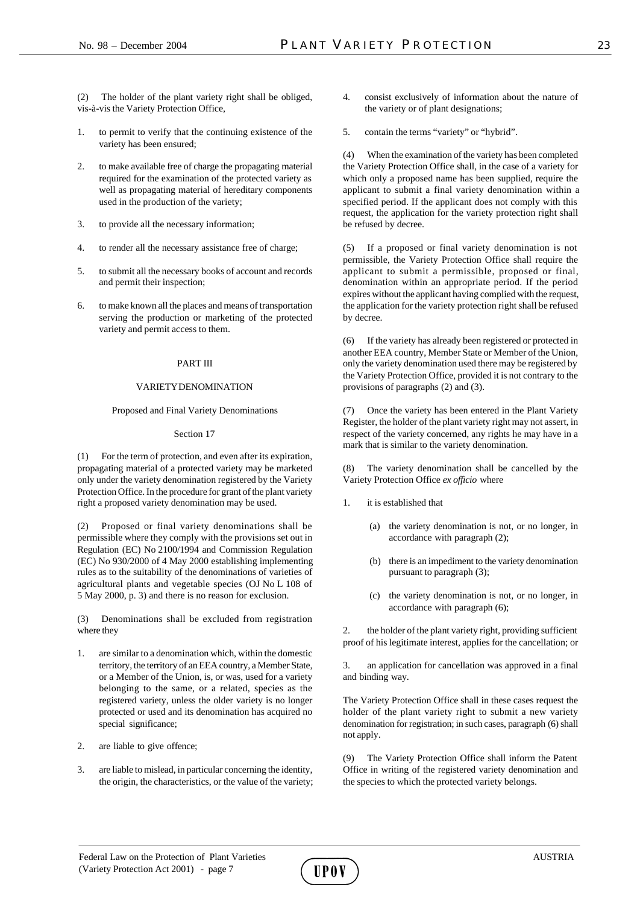(2) The holder of the plant variety right shall be obliged, vis-à-vis the Variety Protection Office,

- 1. to permit to verify that the continuing existence of the variety has been ensured;
- 2. to make available free of charge the propagating material required for the examination of the protected variety as well as propagating material of hereditary components used in the production of the variety;
- 3. to provide all the necessary information;
- 4. to render all the necessary assistance free of charge;
- 5. to submit all the necessary books of account and records and permit their inspection;
- 6. to make known all the places and means of transportation serving the production or marketing of the protected variety and permit access to them.

#### PART III

#### VARIETY DENOMINATION

#### Proposed and Final Variety Denominations

#### Section 17

(1) For the term of protection, and even after its expiration, propagating material of a protected variety may be marketed only under the variety denomination registered by the Variety Protection Office. In the procedure for grant of the plant variety right a proposed variety denomination may be used.

(2) Proposed or final variety denominations shall be permissible where they comply with the provisions set out in Regulation (EC) No 2100/1994 and Commission Regulation (EC) No 930/2000 of 4 May 2000 establishing implementing rules as to the suitability of the denominations of varieties of agricultural plants and vegetable species (OJ No L 108 of 5 May 2000, p. 3) and there is no reason for exclusion.

(3) Denominations shall be excluded from registration where they

- 1. are similar to a denomination which, within the domestic territory, the territory of an EEA country, a Member State, or a Member of the Union, is, or was, used for a variety belonging to the same, or a related, species as the registered variety, unless the older variety is no longer protected or used and its denomination has acquired no special significance;
- 2. are liable to give offence;
- 3. are liable to mislead, in particular concerning the identity, the origin, the characteristics, or the value of the variety;
- 4. consist exclusively of information about the nature of the variety or of plant designations;
- 5. contain the terms "variety" or "hybrid".

(4) When the examination of the variety has been completed the Variety Protection Office shall, in the case of a variety for which only a proposed name has been supplied, require the applicant to submit a final variety denomination within a specified period. If the applicant does not comply with this request, the application for the variety protection right shall be refused by decree.

(5) If a proposed or final variety denomination is not permissible, the Variety Protection Office shall require the applicant to submit a permissible, proposed or final, denomination within an appropriate period. If the period expires without the applicant having complied with the request, the application for the variety protection right shall be refused by decree.

(6) If the variety has already been registered or protected in another EEA country, Member State or Member of the Union, only the variety denomination used there may be registered by the Variety Protection Office, provided it is not contrary to the provisions of paragraphs (2) and (3).

(7) Once the variety has been entered in the Plant Variety Register, the holder of the plant variety right may not assert, in respect of the variety concerned, any rights he may have in a mark that is similar to the variety denomination.

(8) The variety denomination shall be cancelled by the Variety Protection Office *ex officio* where

- 1. it is established that
	- (a) the variety denomination is not, or no longer, in accordance with paragraph (2);
	- (b) there is an impediment to the variety denomination pursuant to paragraph (3);
	- (c) the variety denomination is not, or no longer, in accordance with paragraph (6);

2. the holder of the plant variety right, providing sufficient proof of his legitimate interest, applies for the cancellation; or

3. an application for cancellation was approved in a final and binding way.

The Variety Protection Office shall in these cases request the holder of the plant variety right to submit a new variety denomination for registration; in such cases, paragraph (6) shall not apply.

(9) The Variety Protection Office shall inform the Patent Office in writing of the registered variety denomination and the species to which the protected variety belongs.

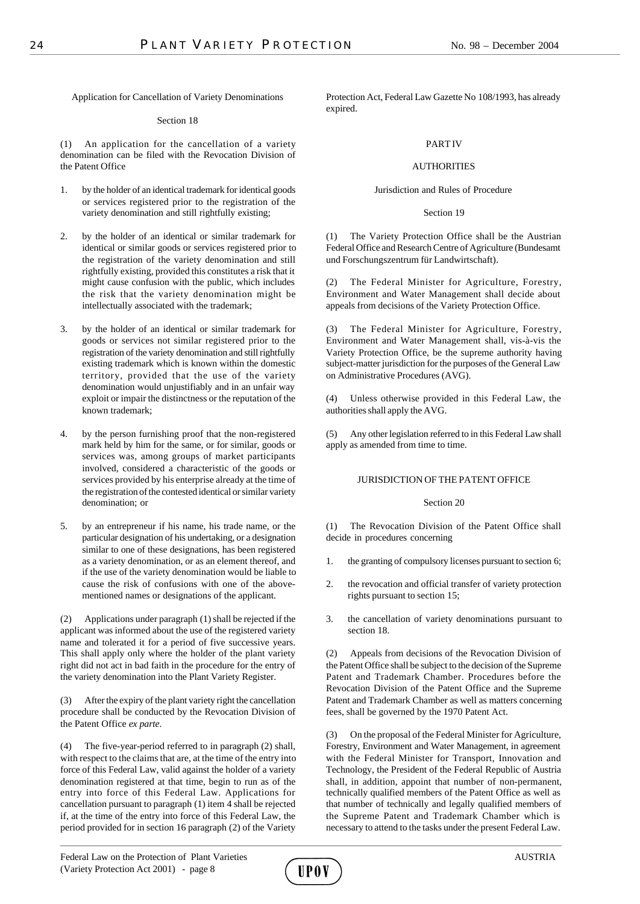Application for Cancellation of Variety Denominations

## Section 18

(1) An application for the cancellation of a variety denomination can be filed with the Revocation Division of the Patent Office

- 1. by the holder of an identical trademark for identical goods or services registered prior to the registration of the variety denomination and still rightfully existing;
- 2. by the holder of an identical or similar trademark for identical or similar goods or services registered prior to the registration of the variety denomination and still rightfully existing, provided this constitutes a risk that it might cause confusion with the public, which includes the risk that the variety denomination might be intellectually associated with the trademark;
- 3. by the holder of an identical or similar trademark for goods or services not similar registered prior to the registration of the variety denomination and still rightfully existing trademark which is known within the domestic territory, provided that the use of the variety denomination would unjustifiably and in an unfair way exploit or impair the distinctness or the reputation of the known trademark;
- 4. by the person furnishing proof that the non-registered mark held by him for the same, or for similar, goods or services was, among groups of market participants involved, considered a characteristic of the goods or services provided by his enterprise already at the time of the registration of the contested identical or similar variety denomination; or
- 5. by an entrepreneur if his name, his trade name, or the particular designation of his undertaking, or a designation similar to one of these designations, has been registered as a variety denomination, or as an element thereof, and if the use of the variety denomination would be liable to cause the risk of confusions with one of the abovementioned names or designations of the applicant.

(2) Applications under paragraph (1) shall be rejected if the applicant was informed about the use of the registered variety name and tolerated it for a period of five successive years. This shall apply only where the holder of the plant variety right did not act in bad faith in the procedure for the entry of the variety denomination into the Plant Variety Register.

(3) After the expiry of the plant variety right the cancellation procedure shall be conducted by the Revocation Division of the Patent Office *ex parte*.

(4) The five-year-period referred to in paragraph (2) shall, with respect to the claims that are, at the time of the entry into force of this Federal Law, valid against the holder of a variety denomination registered at that time, begin to run as of the entry into force of this Federal Law. Applications for cancellation pursuant to paragraph (1) item 4 shall be rejected if, at the time of the entry into force of this Federal Law, the period provided for in section 16 paragraph (2) of the Variety

Protection Act, Federal Law Gazette No 108/1993, has already expired.

## PART IV

## AUTHORITIES

## Jurisdiction and Rules of Procedure

## Section 19

(1) The Variety Protection Office shall be the Austrian Federal Office and Research Centre of Agriculture (Bundesamt und Forschungszentrum für Landwirtschaft).

(2) The Federal Minister for Agriculture, Forestry, Environment and Water Management shall decide about appeals from decisions of the Variety Protection Office.

(3) The Federal Minister for Agriculture, Forestry, Environment and Water Management shall, vis-à-vis the Variety Protection Office, be the supreme authority having subject-matter jurisdiction for the purposes of the General Law on Administrative Procedures (AVG).

(4) Unless otherwise provided in this Federal Law, the authorities shall apply the AVG.

(5) Any other legislation referred to in this Federal Law shall apply as amended from time to time.

## JURISDICTION OF THE PATENT OFFICE

## Section 20

(1) The Revocation Division of the Patent Office shall decide in procedures concerning

- 1. the granting of compulsory licenses pursuant to section 6;
- 2. the revocation and official transfer of variety protection rights pursuant to section 15;
- 3. the cancellation of variety denominations pursuant to section 18.

(2) Appeals from decisions of the Revocation Division of the Patent Office shall be subject to the decision of the Supreme Patent and Trademark Chamber. Procedures before the Revocation Division of the Patent Office and the Supreme Patent and Trademark Chamber as well as matters concerning fees, shall be governed by the 1970 Patent Act.

(3) On the proposal of the Federal Minister for Agriculture, Forestry, Environment and Water Management, in agreement with the Federal Minister for Transport, Innovation and Technology, the President of the Federal Republic of Austria shall, in addition, appoint that number of non-permanent, technically qualified members of the Patent Office as well as that number of technically and legally qualified members of the Supreme Patent and Trademark Chamber which is necessary to attend to the tasks under the present Federal Law.

HPOV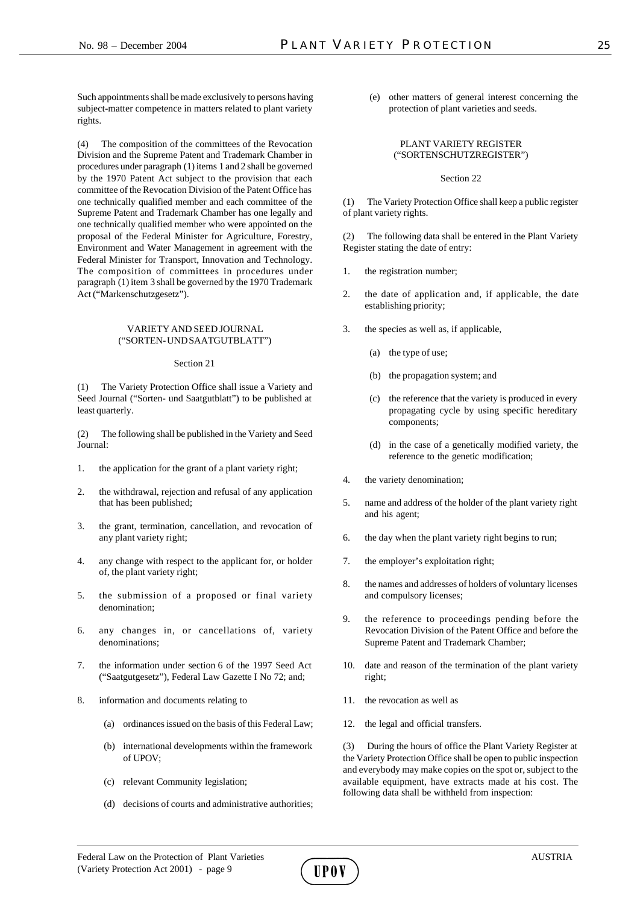Such appointments shall be made exclusively to persons having subject-matter competence in matters related to plant variety rights.

(4) The composition of the committees of the Revocation Division and the Supreme Patent and Trademark Chamber in procedures under paragraph (1) items 1 and 2 shall be governed by the 1970 Patent Act subject to the provision that each committee of the Revocation Division of the Patent Office has one technically qualified member and each committee of the Supreme Patent and Trademark Chamber has one legally and one technically qualified member who were appointed on the proposal of the Federal Minister for Agriculture, Forestry, Environment and Water Management in agreement with the Federal Minister for Transport, Innovation and Technology. The composition of committees in procedures under paragraph (1) item 3 shall be governed by the 1970 Trademark Act ("Markenschutzgesetz").

#### VARIETY AND SEED JOURNAL ("SORTEN- UND SAATGUTBLATT")

#### Section 21

(1) The Variety Protection Office shall issue a Variety and Seed Journal ("Sorten- und Saatgutblatt") to be published at least quarterly.

(2) The following shall be published in the Variety and Seed Journal:

- 1. the application for the grant of a plant variety right;
- 2. the withdrawal, rejection and refusal of any application that has been published;
- 3. the grant, termination, cancellation, and revocation of any plant variety right;
- 4. any change with respect to the applicant for, or holder of, the plant variety right;
- 5. the submission of a proposed or final variety denomination;
- 6. any changes in, or cancellations of, variety denominations;
- 7. the information under section 6 of the 1997 Seed Act ("Saatgutgesetz"), Federal Law Gazette I No 72; and;
- 8. information and documents relating to
	- (a) ordinances issued on the basis of this Federal Law;
	- (b) international developments within the framework of UPOV;
	- (c) relevant Community legislation;
	- (d) decisions of courts and administrative authorities;

(e) other matters of general interest concerning the protection of plant varieties and seeds.

## PLANT VARIETY REGISTER ("SORTENSCHUTZREGISTER")

## Section 22

(1) The Variety Protection Office shall keep a public register of plant variety rights.

(2) The following data shall be entered in the Plant Variety Register stating the date of entry:

- 1. the registration number;
- 2. the date of application and, if applicable, the date establishing priority;
- 3. the species as well as, if applicable,
	- (a) the type of use;
	- (b) the propagation system; and
	- (c) the reference that the variety is produced in every propagating cycle by using specific hereditary components;
	- (d) in the case of a genetically modified variety, the reference to the genetic modification;
- 4. the variety denomination;
- 5. name and address of the holder of the plant variety right and his agent;
- 6. the day when the plant variety right begins to run;
- 7. the employer's exploitation right;
- 8. the names and addresses of holders of voluntary licenses and compulsory licenses;
- 9. the reference to proceedings pending before the Revocation Division of the Patent Office and before the Supreme Patent and Trademark Chamber;
- 10. date and reason of the termination of the plant variety right;
- 11. the revocation as well as
- 12. the legal and official transfers.

(3) During the hours of office the Plant Variety Register at the Variety Protection Office shall be open to public inspection and everybody may make copies on the spot or, subject to the available equipment, have extracts made at his cost. The following data shall be withheld from inspection:

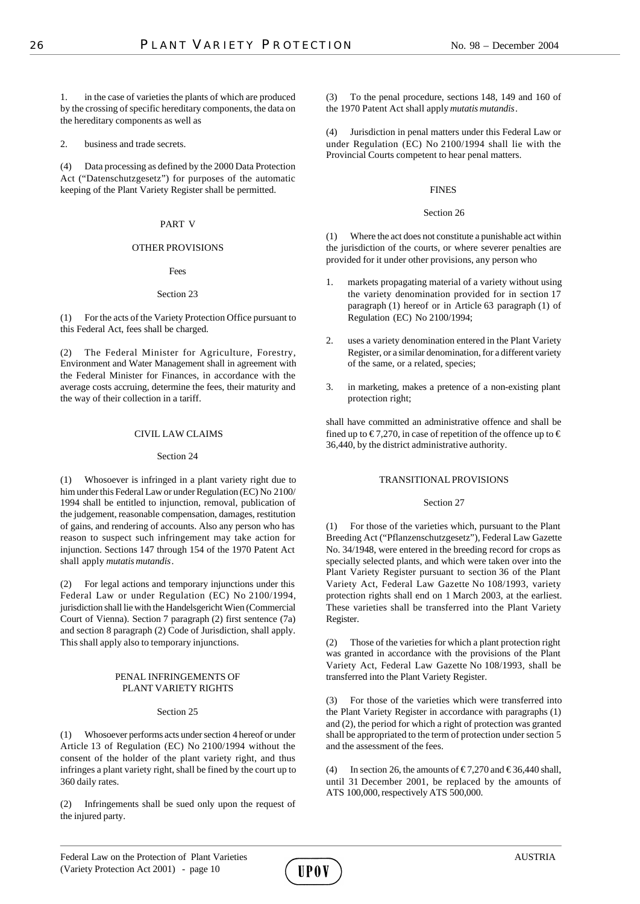1. in the case of varieties the plants of which are produced by the crossing of specific hereditary components, the data on the hereditary components as well as

2. business and trade secrets.

(4) Data processing as defined by the 2000 Data Protection Act ("Datenschutzgesetz") for purposes of the automatic keeping of the Plant Variety Register shall be permitted.

## PART V

## OTHER PROVISIONS

Fees

## Section 23

(1) For the acts of the Variety Protection Office pursuant to this Federal Act, fees shall be charged.

(2) The Federal Minister for Agriculture, Forestry, Environment and Water Management shall in agreement with the Federal Minister for Finances, in accordance with the average costs accruing, determine the fees, their maturity and the way of their collection in a tariff.

## CIVIL LAW CLAIMS

## Section 24

(1) Whosoever is infringed in a plant variety right due to him under this Federal Law or under Regulation (EC) No 2100/ 1994 shall be entitled to injunction, removal, publication of the judgement, reasonable compensation, damages, restitution of gains, and rendering of accounts. Also any person who has reason to suspect such infringement may take action for injunction. Sections 147 through 154 of the 1970 Patent Act shall apply *mutatis mutandis*.

(2) For legal actions and temporary injunctions under this Federal Law or under Regulation (EC) No 2100/1994, jurisdiction shall lie with the Handelsgericht Wien (Commercial Court of Vienna). Section 7 paragraph (2) first sentence (7a) and section 8 paragraph (2) Code of Jurisdiction, shall apply. This shall apply also to temporary injunctions.

## PENAL INFRINGEMENTS OF PLANT VARIETY RIGHTS

## Section 25

(1) Whosoever performs acts under section 4 hereof or under Article 13 of Regulation (EC) No 2100/1994 without the consent of the holder of the plant variety right, and thus infringes a plant variety right, shall be fined by the court up to 360 daily rates.

(2) Infringements shall be sued only upon the request of the injured party.

(3) To the penal procedure, sections 148, 149 and 160 of the 1970 Patent Act shall apply *mutatis mutandis*.

(4) Jurisdiction in penal matters under this Federal Law or under Regulation (EC) No 2100/1994 shall lie with the Provincial Courts competent to hear penal matters.

## FINES

## Section 26

(1) Where the act does not constitute a punishable act within the jurisdiction of the courts, or where severer penalties are provided for it under other provisions, any person who

- 1. markets propagating material of a variety without using the variety denomination provided for in section 17 paragraph (1) hereof or in Article 63 paragraph (1) of Regulation (EC) No 2100/1994;
- 2. uses a variety denomination entered in the Plant Variety Register, or a similar denomination, for a different variety of the same, or a related, species;
- 3. in marketing, makes a pretence of a non-existing plant protection right;

shall have committed an administrative offence and shall be fined up to  $\in 7,270$ , in case of repetition of the offence up to  $\in$ 36,440, by the district administrative authority.

## TRANSITIONAL PROVISIONS

## Section 27

(1) For those of the varieties which, pursuant to the Plant Breeding Act ("Pflanzenschutzgesetz"), Federal Law Gazette No. 34/1948, were entered in the breeding record for crops as specially selected plants, and which were taken over into the Plant Variety Register pursuant to section 36 of the Plant Variety Act, Federal Law Gazette No 108/1993, variety protection rights shall end on 1 March 2003, at the earliest. These varieties shall be transferred into the Plant Variety Register.

(2) Those of the varieties for which a plant protection right was granted in accordance with the provisions of the Plant Variety Act, Federal Law Gazette No 108/1993, shall be transferred into the Plant Variety Register.

(3) For those of the varieties which were transferred into the Plant Variety Register in accordance with paragraphs (1) and (2), the period for which a right of protection was granted shall be appropriated to the term of protection under section 5 and the assessment of the fees.

(4) In section 26, the amounts of  $\epsilon$ 7,270 and  $\epsilon$ 36,440 shall, until 31 December 2001, be replaced by the amounts of ATS 100,000, respectively ATS 500,000.